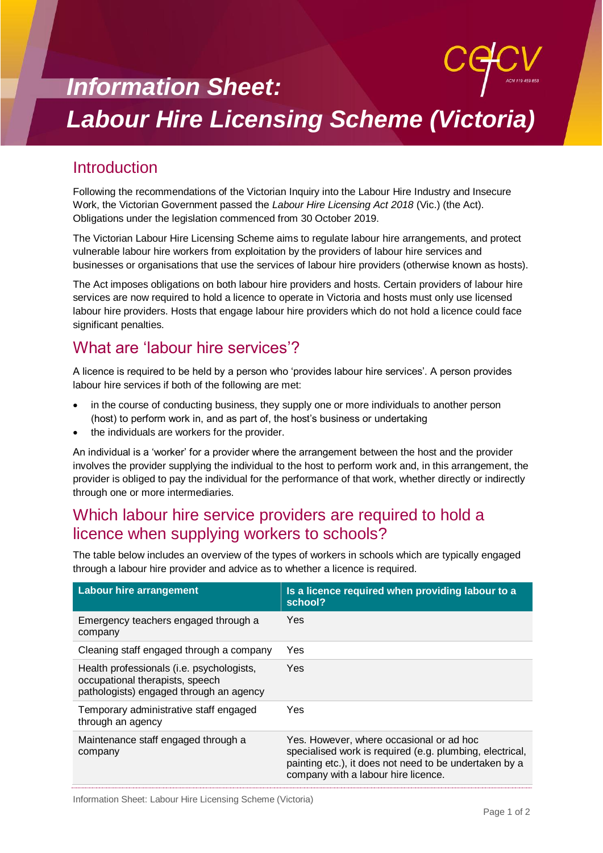# *Information Sheet: Labour Hire Licensing Scheme (Victoria)*

## **Introduction**

Following the recommendations of the Victorian Inquiry into the Labour Hire Industry and Insecure Work, the Victorian Government passed the *Labour Hire Licensing Act 2018* (Vic.) (the Act). Obligations under the legislation commenced from 30 October 2019.

The Victorian Labour Hire Licensing Scheme aims to regulate labour hire arrangements, and protect vulnerable labour hire workers from exploitation by the providers of labour hire services and businesses or organisations that use the services of labour hire providers (otherwise known as hosts).

The Act imposes obligations on both labour hire providers and hosts. Certain providers of labour hire services are now required to hold a licence to operate in Victoria and hosts must only use licensed labour hire providers. Hosts that engage labour hire providers which do not hold a licence could face significant penalties.

## What are 'labour hire services'?

A licence is required to be held by a person who 'provides labour hire services'. A person provides labour hire services if both of the following are met:

- in the course of conducting business, they supply one or more individuals to another person (host) to perform work in, and as part of, the host's business or undertaking
- the individuals are workers for the provider.

An individual is a 'worker' for a provider where the arrangement between the host and the provider involves the provider supplying the individual to the host to perform work and, in this arrangement, the provider is obliged to pay the individual for the performance of that work, whether directly or indirectly through one or more intermediaries.

#### Which labour hire service providers are required to hold a licence when supplying workers to schools?

The table below includes an overview of the types of workers in schools which are typically engaged through a labour hire provider and advice as to whether a licence is required.

| <b>Labour hire arrangement</b>                                                                                          | Is a licence required when providing labour to a<br>school?                                                                                                                                           |
|-------------------------------------------------------------------------------------------------------------------------|-------------------------------------------------------------------------------------------------------------------------------------------------------------------------------------------------------|
| Emergency teachers engaged through a<br>company                                                                         | Yes                                                                                                                                                                                                   |
| Cleaning staff engaged through a company                                                                                | Yes                                                                                                                                                                                                   |
| Health professionals (i.e. psychologists,<br>occupational therapists, speech<br>pathologists) engaged through an agency | Yes                                                                                                                                                                                                   |
| Temporary administrative staff engaged<br>through an agency                                                             | Yes                                                                                                                                                                                                   |
| Maintenance staff engaged through a<br>company                                                                          | Yes. However, where occasional or ad hoc<br>specialised work is required (e.g. plumbing, electrical,<br>painting etc.), it does not need to be undertaken by a<br>company with a labour hire licence. |